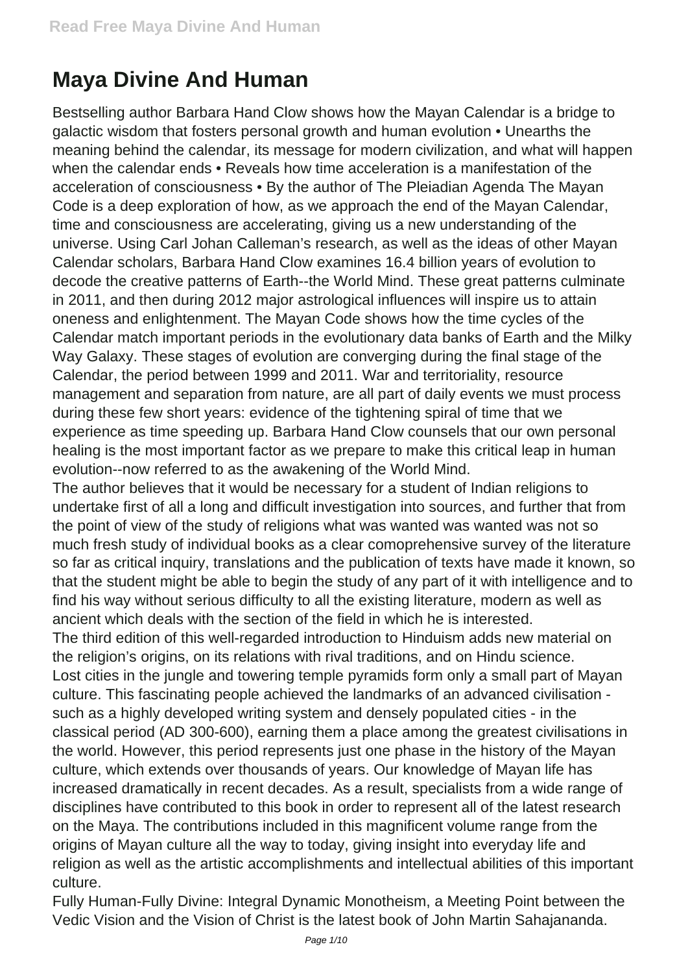## **Maya Divine And Human**

Bestselling author Barbara Hand Clow shows how the Mayan Calendar is a bridge to galactic wisdom that fosters personal growth and human evolution • Unearths the meaning behind the calendar, its message for modern civilization, and what will happen when the calendar ends • Reveals how time acceleration is a manifestation of the acceleration of consciousness • By the author of The Pleiadian Agenda The Mayan Code is a deep exploration of how, as we approach the end of the Mayan Calendar, time and consciousness are accelerating, giving us a new understanding of the universe. Using Carl Johan Calleman's research, as well as the ideas of other Mayan Calendar scholars, Barbara Hand Clow examines 16.4 billion years of evolution to decode the creative patterns of Earth--the World Mind. These great patterns culminate in 2011, and then during 2012 major astrological influences will inspire us to attain oneness and enlightenment. The Mayan Code shows how the time cycles of the Calendar match important periods in the evolutionary data banks of Earth and the Milky Way Galaxy. These stages of evolution are converging during the final stage of the Calendar, the period between 1999 and 2011. War and territoriality, resource management and separation from nature, are all part of daily events we must process during these few short years: evidence of the tightening spiral of time that we experience as time speeding up. Barbara Hand Clow counsels that our own personal healing is the most important factor as we prepare to make this critical leap in human evolution--now referred to as the awakening of the World Mind. The author believes that it would be necessary for a student of Indian religions to undertake first of all a long and difficult investigation into sources, and further that from

the point of view of the study of religions what was wanted was wanted was not so much fresh study of individual books as a clear comoprehensive survey of the literature so far as critical inquiry, translations and the publication of texts have made it known, so that the student might be able to begin the study of any part of it with intelligence and to find his way without serious difficulty to all the existing literature, modern as well as ancient which deals with the section of the field in which he is interested.

The third edition of this well-regarded introduction to Hinduism adds new material on the religion's origins, on its relations with rival traditions, and on Hindu science. Lost cities in the jungle and towering temple pyramids form only a small part of Mayan culture. This fascinating people achieved the landmarks of an advanced civilisation such as a highly developed writing system and densely populated cities - in the classical period (AD 300-600), earning them a place among the greatest civilisations in the world. However, this period represents just one phase in the history of the Mayan culture, which extends over thousands of years. Our knowledge of Mayan life has increased dramatically in recent decades. As a result, specialists from a wide range of disciplines have contributed to this book in order to represent all of the latest research on the Maya. The contributions included in this magnificent volume range from the origins of Mayan culture all the way to today, giving insight into everyday life and religion as well as the artistic accomplishments and intellectual abilities of this important culture.

Fully Human-Fully Divine: Integral Dynamic Monotheism, a Meeting Point between the Vedic Vision and the Vision of Christ is the latest book of John Martin Sahajananda.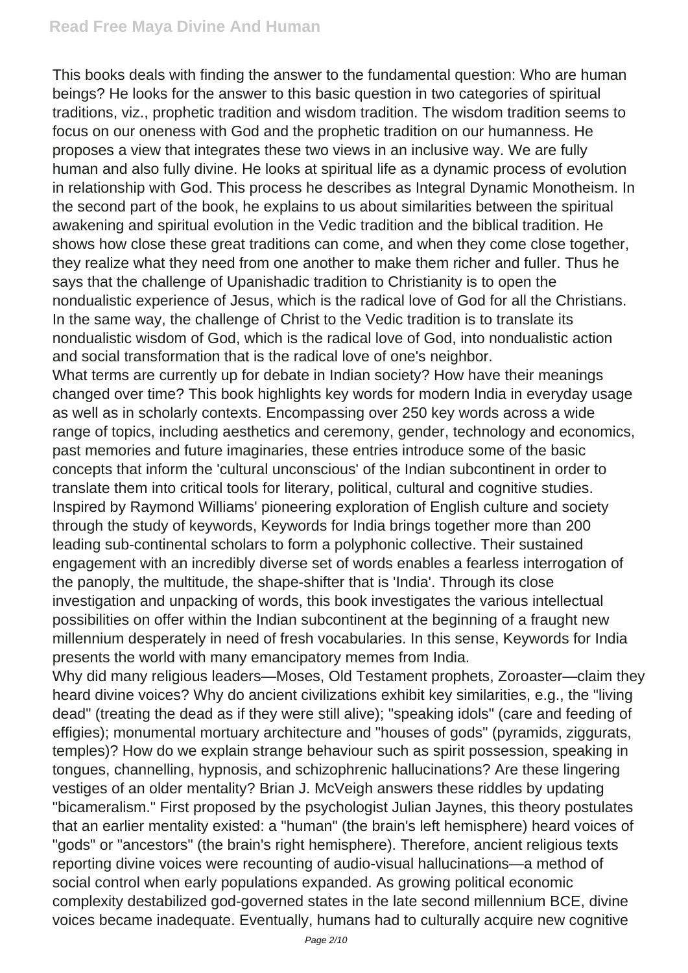This books deals with finding the answer to the fundamental question: Who are human beings? He looks for the answer to this basic question in two categories of spiritual traditions, viz., prophetic tradition and wisdom tradition. The wisdom tradition seems to focus on our oneness with God and the prophetic tradition on our humanness. He proposes a view that integrates these two views in an inclusive way. We are fully human and also fully divine. He looks at spiritual life as a dynamic process of evolution in relationship with God. This process he describes as Integral Dynamic Monotheism. In the second part of the book, he explains to us about similarities between the spiritual awakening and spiritual evolution in the Vedic tradition and the biblical tradition. He shows how close these great traditions can come, and when they come close together, they realize what they need from one another to make them richer and fuller. Thus he says that the challenge of Upanishadic tradition to Christianity is to open the nondualistic experience of Jesus, which is the radical love of God for all the Christians. In the same way, the challenge of Christ to the Vedic tradition is to translate its nondualistic wisdom of God, which is the radical love of God, into nondualistic action and social transformation that is the radical love of one's neighbor.

What terms are currently up for debate in Indian society? How have their meanings changed over time? This book highlights key words for modern India in everyday usage as well as in scholarly contexts. Encompassing over 250 key words across a wide range of topics, including aesthetics and ceremony, gender, technology and economics, past memories and future imaginaries, these entries introduce some of the basic concepts that inform the 'cultural unconscious' of the Indian subcontinent in order to translate them into critical tools for literary, political, cultural and cognitive studies. Inspired by Raymond Williams' pioneering exploration of English culture and society through the study of keywords, Keywords for India brings together more than 200 leading sub-continental scholars to form a polyphonic collective. Their sustained engagement with an incredibly diverse set of words enables a fearless interrogation of the panoply, the multitude, the shape-shifter that is 'India'. Through its close investigation and unpacking of words, this book investigates the various intellectual possibilities on offer within the Indian subcontinent at the beginning of a fraught new millennium desperately in need of fresh vocabularies. In this sense, Keywords for India presents the world with many emancipatory memes from India.

Why did many religious leaders—Moses, Old Testament prophets, Zoroaster—claim they heard divine voices? Why do ancient civilizations exhibit key similarities, e.g., the "living dead" (treating the dead as if they were still alive); "speaking idols" (care and feeding of effigies); monumental mortuary architecture and "houses of gods" (pyramids, ziggurats, temples)? How do we explain strange behaviour such as spirit possession, speaking in tongues, channelling, hypnosis, and schizophrenic hallucinations? Are these lingering vestiges of an older mentality? Brian J. McVeigh answers these riddles by updating "bicameralism." First proposed by the psychologist Julian Jaynes, this theory postulates that an earlier mentality existed: a "human" (the brain's left hemisphere) heard voices of "gods" or "ancestors" (the brain's right hemisphere). Therefore, ancient religious texts reporting divine voices were recounting of audio-visual hallucinations—a method of social control when early populations expanded. As growing political economic complexity destabilized god-governed states in the late second millennium BCE, divine voices became inadequate. Eventually, humans had to culturally acquire new cognitive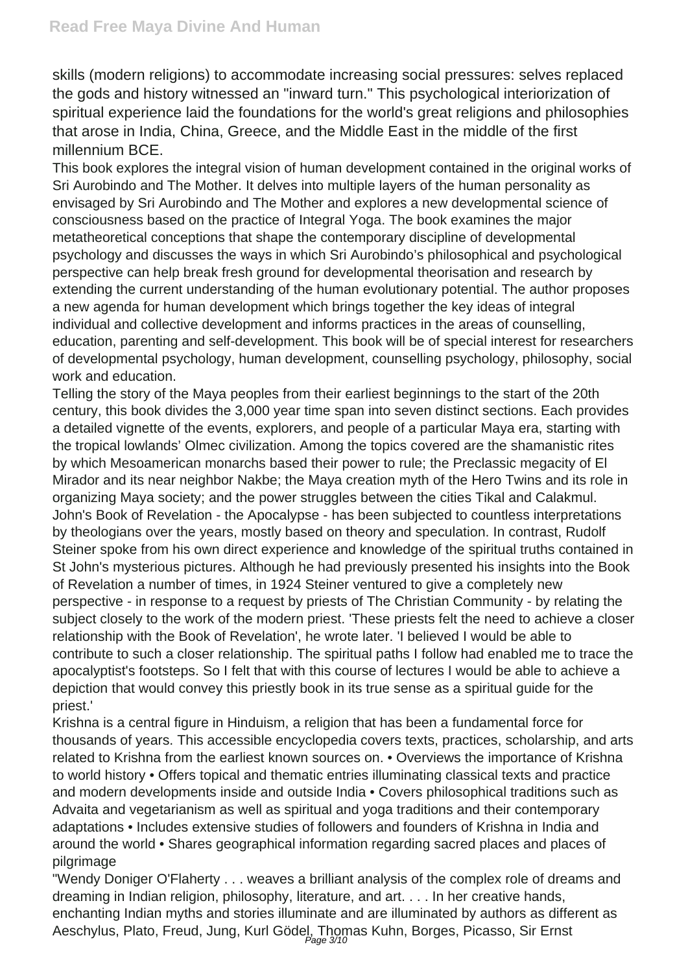skills (modern religions) to accommodate increasing social pressures: selves replaced the gods and history witnessed an "inward turn." This psychological interiorization of spiritual experience laid the foundations for the world's great religions and philosophies that arose in India, China, Greece, and the Middle East in the middle of the first millennium BCE.

This book explores the integral vision of human development contained in the original works of Sri Aurobindo and The Mother. It delves into multiple layers of the human personality as envisaged by Sri Aurobindo and The Mother and explores a new developmental science of consciousness based on the practice of Integral Yoga. The book examines the major metatheoretical conceptions that shape the contemporary discipline of developmental psychology and discusses the ways in which Sri Aurobindo's philosophical and psychological perspective can help break fresh ground for developmental theorisation and research by extending the current understanding of the human evolutionary potential. The author proposes a new agenda for human development which brings together the key ideas of integral individual and collective development and informs practices in the areas of counselling, education, parenting and self-development. This book will be of special interest for researchers of developmental psychology, human development, counselling psychology, philosophy, social work and education.

Telling the story of the Maya peoples from their earliest beginnings to the start of the 20th century, this book divides the 3,000 year time span into seven distinct sections. Each provides a detailed vignette of the events, explorers, and people of a particular Maya era, starting with the tropical lowlands' Olmec civilization. Among the topics covered are the shamanistic rites by which Mesoamerican monarchs based their power to rule; the Preclassic megacity of El Mirador and its near neighbor Nakbe; the Maya creation myth of the Hero Twins and its role in organizing Maya society; and the power struggles between the cities Tikal and Calakmul. John's Book of Revelation - the Apocalypse - has been subjected to countless interpretations by theologians over the years, mostly based on theory and speculation. In contrast, Rudolf Steiner spoke from his own direct experience and knowledge of the spiritual truths contained in St John's mysterious pictures. Although he had previously presented his insights into the Book of Revelation a number of times, in 1924 Steiner ventured to give a completely new perspective - in response to a request by priests of The Christian Community - by relating the subject closely to the work of the modern priest. 'These priests felt the need to achieve a closer relationship with the Book of Revelation', he wrote later. 'I believed I would be able to contribute to such a closer relationship. The spiritual paths I follow had enabled me to trace the apocalyptist's footsteps. So I felt that with this course of lectures I would be able to achieve a depiction that would convey this priestly book in its true sense as a spiritual guide for the priest.'

Krishna is a central figure in Hinduism, a religion that has been a fundamental force for thousands of years. This accessible encyclopedia covers texts, practices, scholarship, and arts related to Krishna from the earliest known sources on. • Overviews the importance of Krishna to world history • Offers topical and thematic entries illuminating classical texts and practice and modern developments inside and outside India • Covers philosophical traditions such as Advaita and vegetarianism as well as spiritual and yoga traditions and their contemporary adaptations • Includes extensive studies of followers and founders of Krishna in India and around the world • Shares geographical information regarding sacred places and places of pilgrimage

"Wendy Doniger O'Flaherty . . . weaves a brilliant analysis of the complex role of dreams and dreaming in Indian religion, philosophy, literature, and art. . . . In her creative hands, enchanting Indian myths and stories illuminate and are illuminated by authors as different as Aeschylus, Plato, Freud, Jung, Kurl Gödel, Thomas Kuhn, Borges, Picasso, Sir Ernst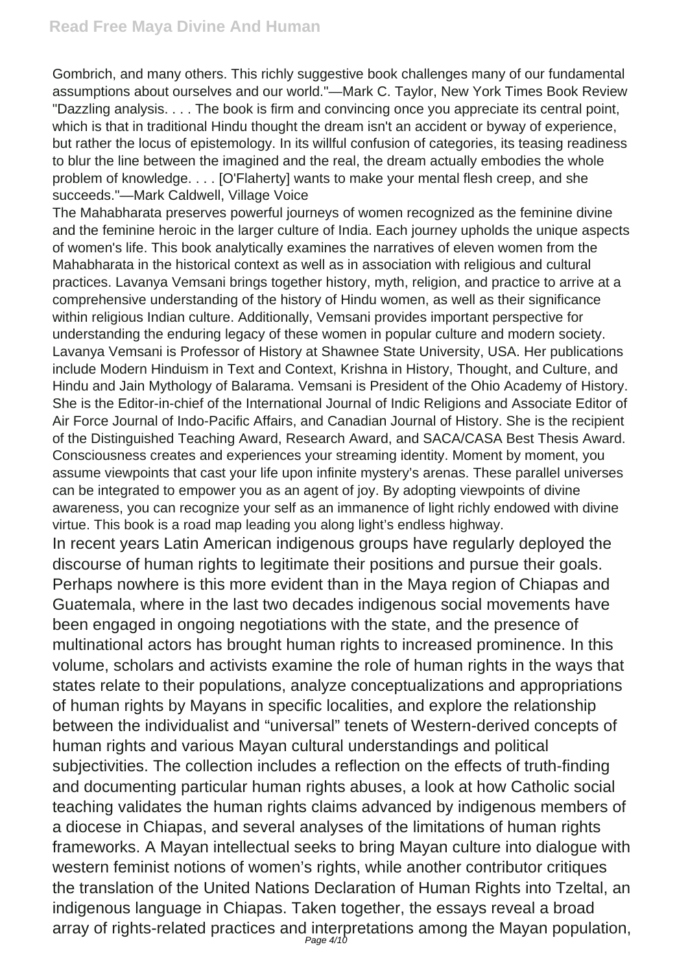Gombrich, and many others. This richly suggestive book challenges many of our fundamental assumptions about ourselves and our world."—Mark C. Taylor, New York Times Book Review "Dazzling analysis. . . . The book is firm and convincing once you appreciate its central point, which is that in traditional Hindu thought the dream isn't an accident or byway of experience, but rather the locus of epistemology. In its willful confusion of categories, its teasing readiness to blur the line between the imagined and the real, the dream actually embodies the whole problem of knowledge. . . . [O'Flaherty] wants to make your mental flesh creep, and she succeeds."—Mark Caldwell, Village Voice

The Mahabharata preserves powerful journeys of women recognized as the feminine divine and the feminine heroic in the larger culture of India. Each journey upholds the unique aspects of women's life. This book analytically examines the narratives of eleven women from the Mahabharata in the historical context as well as in association with religious and cultural practices. Lavanya Vemsani brings together history, myth, religion, and practice to arrive at a comprehensive understanding of the history of Hindu women, as well as their significance within religious Indian culture. Additionally, Vemsani provides important perspective for understanding the enduring legacy of these women in popular culture and modern society. Lavanya Vemsani is Professor of History at Shawnee State University, USA. Her publications include Modern Hinduism in Text and Context, Krishna in History, Thought, and Culture, and Hindu and Jain Mythology of Balarama. Vemsani is President of the Ohio Academy of History. She is the Editor-in-chief of the International Journal of Indic Religions and Associate Editor of Air Force Journal of Indo-Pacific Affairs, and Canadian Journal of History. She is the recipient of the Distinguished Teaching Award, Research Award, and SACA/CASA Best Thesis Award. Consciousness creates and experiences your streaming identity. Moment by moment, you assume viewpoints that cast your life upon infinite mystery's arenas. These parallel universes can be integrated to empower you as an agent of joy. By adopting viewpoints of divine awareness, you can recognize your self as an immanence of light richly endowed with divine virtue. This book is a road map leading you along light's endless highway.

In recent years Latin American indigenous groups have regularly deployed the discourse of human rights to legitimate their positions and pursue their goals. Perhaps nowhere is this more evident than in the Maya region of Chiapas and Guatemala, where in the last two decades indigenous social movements have been engaged in ongoing negotiations with the state, and the presence of multinational actors has brought human rights to increased prominence. In this volume, scholars and activists examine the role of human rights in the ways that states relate to their populations, analyze conceptualizations and appropriations of human rights by Mayans in specific localities, and explore the relationship between the individualist and "universal" tenets of Western-derived concepts of human rights and various Mayan cultural understandings and political subjectivities. The collection includes a reflection on the effects of truth-finding and documenting particular human rights abuses, a look at how Catholic social teaching validates the human rights claims advanced by indigenous members of a diocese in Chiapas, and several analyses of the limitations of human rights frameworks. A Mayan intellectual seeks to bring Mayan culture into dialogue with western feminist notions of women's rights, while another contributor critiques the translation of the United Nations Declaration of Human Rights into Tzeltal, an indigenous language in Chiapas. Taken together, the essays reveal a broad array of rights-related practices and interpretations among the Mayan population,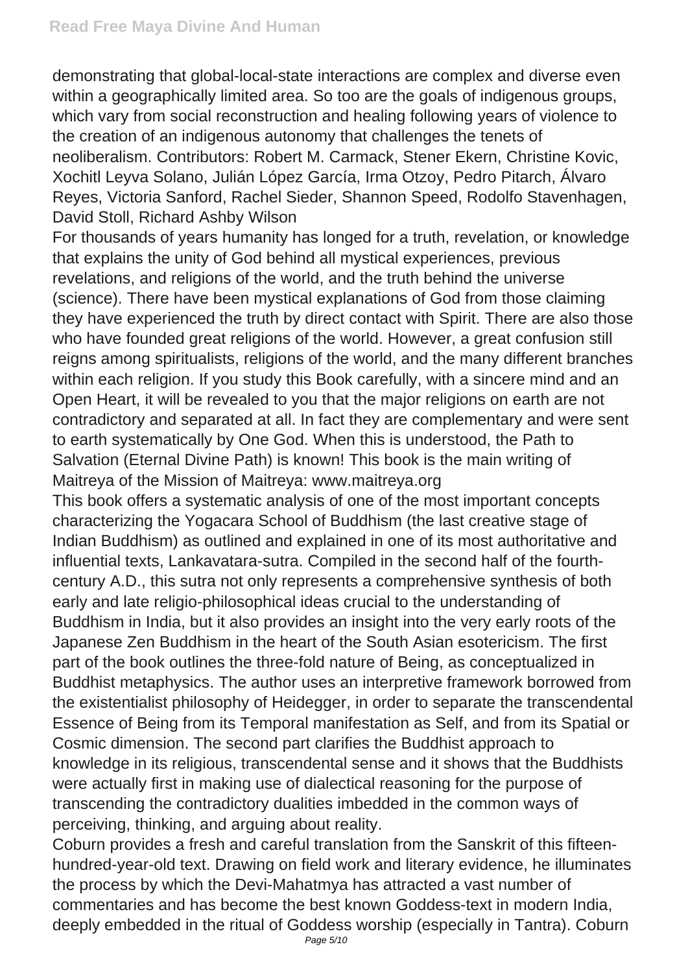demonstrating that global-local-state interactions are complex and diverse even within a geographically limited area. So too are the goals of indigenous groups, which vary from social reconstruction and healing following years of violence to the creation of an indigenous autonomy that challenges the tenets of neoliberalism. Contributors: Robert M. Carmack, Stener Ekern, Christine Kovic, Xochitl Leyva Solano, Julián López García, Irma Otzoy, Pedro Pitarch, Álvaro Reyes, Victoria Sanford, Rachel Sieder, Shannon Speed, Rodolfo Stavenhagen, David Stoll, Richard Ashby Wilson

For thousands of years humanity has longed for a truth, revelation, or knowledge that explains the unity of God behind all mystical experiences, previous revelations, and religions of the world, and the truth behind the universe (science). There have been mystical explanations of God from those claiming they have experienced the truth by direct contact with Spirit. There are also those who have founded great religions of the world. However, a great confusion still reigns among spiritualists, religions of the world, and the many different branches within each religion. If you study this Book carefully, with a sincere mind and an Open Heart, it will be revealed to you that the major religions on earth are not contradictory and separated at all. In fact they are complementary and were sent to earth systematically by One God. When this is understood, the Path to Salvation (Eternal Divine Path) is known! This book is the main writing of Maitreya of the Mission of Maitreya: www.maitreya.org

This book offers a systematic analysis of one of the most important concepts characterizing the Yogacara School of Buddhism (the last creative stage of Indian Buddhism) as outlined and explained in one of its most authoritative and influential texts, Lankavatara-sutra. Compiled in the second half of the fourthcentury A.D., this sutra not only represents a comprehensive synthesis of both early and late religio-philosophical ideas crucial to the understanding of Buddhism in India, but it also provides an insight into the very early roots of the Japanese Zen Buddhism in the heart of the South Asian esotericism. The first part of the book outlines the three-fold nature of Being, as conceptualized in Buddhist metaphysics. The author uses an interpretive framework borrowed from the existentialist philosophy of Heidegger, in order to separate the transcendental Essence of Being from its Temporal manifestation as Self, and from its Spatial or Cosmic dimension. The second part clarifies the Buddhist approach to knowledge in its religious, transcendental sense and it shows that the Buddhists were actually first in making use of dialectical reasoning for the purpose of transcending the contradictory dualities imbedded in the common ways of perceiving, thinking, and arguing about reality.

Coburn provides a fresh and careful translation from the Sanskrit of this fifteenhundred-year-old text. Drawing on field work and literary evidence, he illuminates the process by which the Devi-Mahatmya has attracted a vast number of commentaries and has become the best known Goddess-text in modern India, deeply embedded in the ritual of Goddess worship (especially in Tantra). Coburn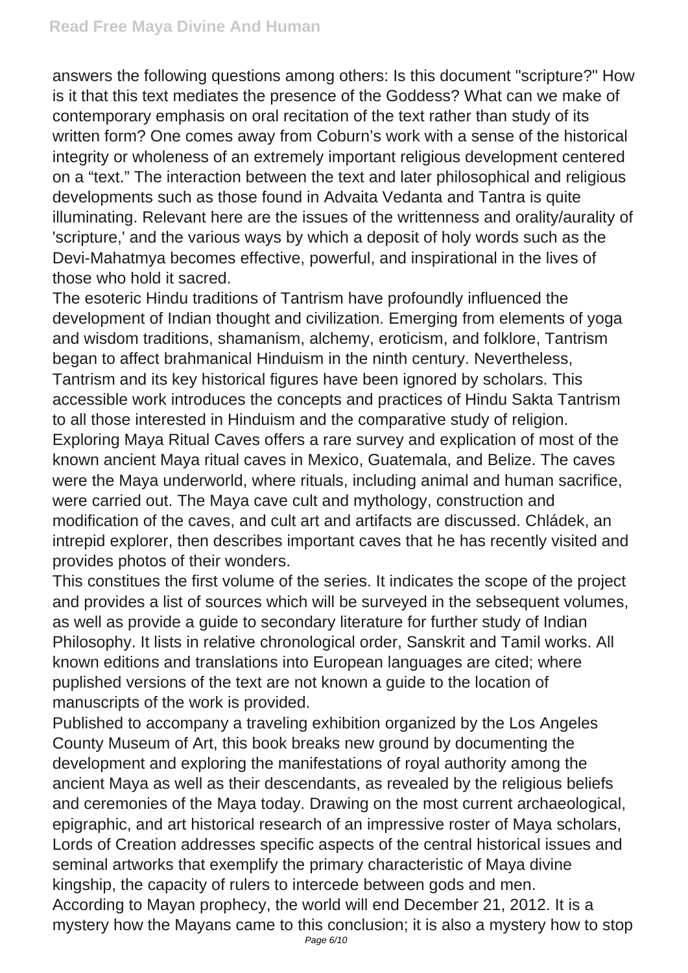answers the following questions among others: Is this document "scripture?" How is it that this text mediates the presence of the Goddess? What can we make of contemporary emphasis on oral recitation of the text rather than study of its written form? One comes away from Coburn's work with a sense of the historical integrity or wholeness of an extremely important religious development centered on a "text." The interaction between the text and later philosophical and religious developments such as those found in Advaita Vedanta and Tantra is quite illuminating. Relevant here are the issues of the writtenness and orality/aurality of 'scripture,' and the various ways by which a deposit of holy words such as the Devi-Mahatmya becomes effective, powerful, and inspirational in the lives of those who hold it sacred.

The esoteric Hindu traditions of Tantrism have profoundly influenced the development of Indian thought and civilization. Emerging from elements of yoga and wisdom traditions, shamanism, alchemy, eroticism, and folklore, Tantrism began to affect brahmanical Hinduism in the ninth century. Nevertheless, Tantrism and its key historical figures have been ignored by scholars. This accessible work introduces the concepts and practices of Hindu Sakta Tantrism to all those interested in Hinduism and the comparative study of religion. Exploring Maya Ritual Caves offers a rare survey and explication of most of the known ancient Maya ritual caves in Mexico, Guatemala, and Belize. The caves were the Maya underworld, where rituals, including animal and human sacrifice, were carried out. The Maya cave cult and mythology, construction and modification of the caves, and cult art and artifacts are discussed. Chládek, an intrepid explorer, then describes important caves that he has recently visited and provides photos of their wonders.

This constitues the first volume of the series. It indicates the scope of the project and provides a list of sources which will be surveyed in the sebsequent volumes, as well as provide a guide to secondary literature for further study of Indian Philosophy. It lists in relative chronological order, Sanskrit and Tamil works. All known editions and translations into European languages are cited; where puplished versions of the text are not known a guide to the location of manuscripts of the work is provided.

Published to accompany a traveling exhibition organized by the Los Angeles County Museum of Art, this book breaks new ground by documenting the development and exploring the manifestations of royal authority among the ancient Maya as well as their descendants, as revealed by the religious beliefs and ceremonies of the Maya today. Drawing on the most current archaeological, epigraphic, and art historical research of an impressive roster of Maya scholars, Lords of Creation addresses specific aspects of the central historical issues and seminal artworks that exemplify the primary characteristic of Maya divine kingship, the capacity of rulers to intercede between gods and men. According to Mayan prophecy, the world will end December 21, 2012. It is a mystery how the Mayans came to this conclusion; it is also a mystery how to stop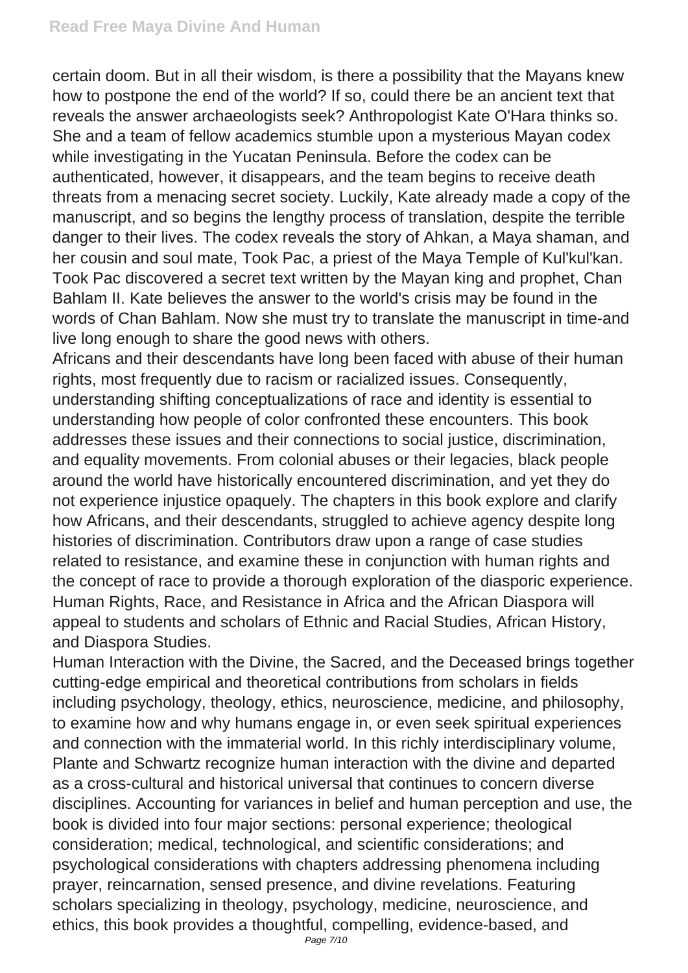certain doom. But in all their wisdom, is there a possibility that the Mayans knew how to postpone the end of the world? If so, could there be an ancient text that reveals the answer archaeologists seek? Anthropologist Kate O'Hara thinks so. She and a team of fellow academics stumble upon a mysterious Mayan codex while investigating in the Yucatan Peninsula. Before the codex can be authenticated, however, it disappears, and the team begins to receive death threats from a menacing secret society. Luckily, Kate already made a copy of the manuscript, and so begins the lengthy process of translation, despite the terrible danger to their lives. The codex reveals the story of Ahkan, a Maya shaman, and her cousin and soul mate, Took Pac, a priest of the Maya Temple of Kul'kul'kan. Took Pac discovered a secret text written by the Mayan king and prophet, Chan Bahlam II. Kate believes the answer to the world's crisis may be found in the words of Chan Bahlam. Now she must try to translate the manuscript in time-and live long enough to share the good news with others.

Africans and their descendants have long been faced with abuse of their human rights, most frequently due to racism or racialized issues. Consequently, understanding shifting conceptualizations of race and identity is essential to understanding how people of color confronted these encounters. This book addresses these issues and their connections to social justice, discrimination, and equality movements. From colonial abuses or their legacies, black people around the world have historically encountered discrimination, and yet they do not experience injustice opaquely. The chapters in this book explore and clarify how Africans, and their descendants, struggled to achieve agency despite long histories of discrimination. Contributors draw upon a range of case studies related to resistance, and examine these in conjunction with human rights and the concept of race to provide a thorough exploration of the diasporic experience. Human Rights, Race, and Resistance in Africa and the African Diaspora will appeal to students and scholars of Ethnic and Racial Studies, African History, and Diaspora Studies.

Human Interaction with the Divine, the Sacred, and the Deceased brings together cutting-edge empirical and theoretical contributions from scholars in fields including psychology, theology, ethics, neuroscience, medicine, and philosophy, to examine how and why humans engage in, or even seek spiritual experiences and connection with the immaterial world. In this richly interdisciplinary volume, Plante and Schwartz recognize human interaction with the divine and departed as a cross-cultural and historical universal that continues to concern diverse disciplines. Accounting for variances in belief and human perception and use, the book is divided into four major sections: personal experience; theological consideration; medical, technological, and scientific considerations; and psychological considerations with chapters addressing phenomena including prayer, reincarnation, sensed presence, and divine revelations. Featuring scholars specializing in theology, psychology, medicine, neuroscience, and ethics, this book provides a thoughtful, compelling, evidence-based, and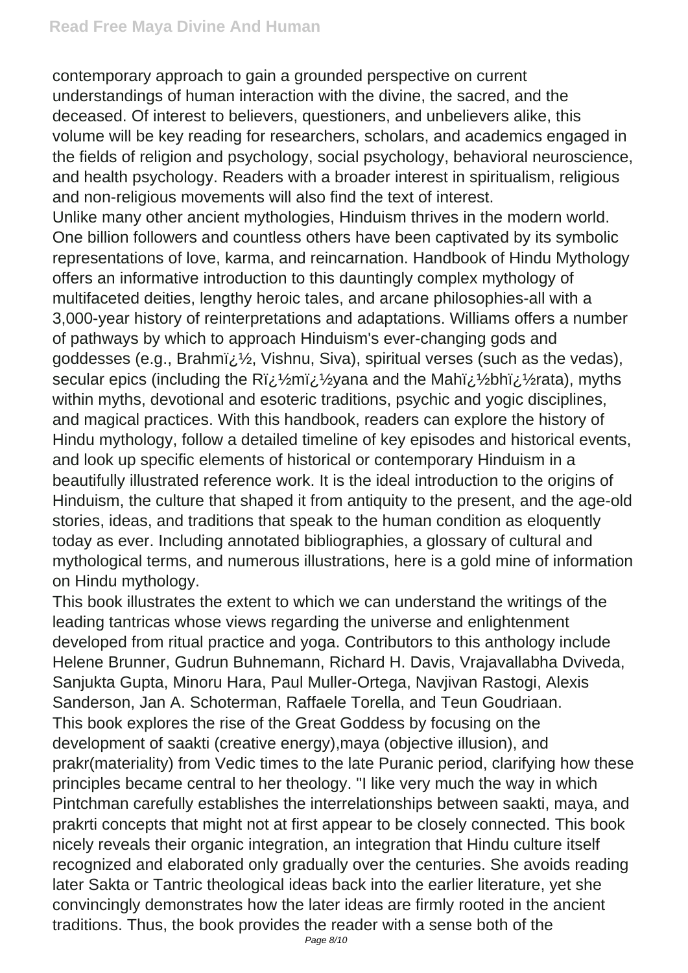contemporary approach to gain a grounded perspective on current understandings of human interaction with the divine, the sacred, and the deceased. Of interest to believers, questioners, and unbelievers alike, this volume will be key reading for researchers, scholars, and academics engaged in the fields of religion and psychology, social psychology, behavioral neuroscience, and health psychology. Readers with a broader interest in spiritualism, religious and non-religious movements will also find the text of interest.

Unlike many other ancient mythologies, Hinduism thrives in the modern world. One billion followers and countless others have been captivated by its symbolic representations of love, karma, and reincarnation. Handbook of Hindu Mythology offers an informative introduction to this dauntingly complex mythology of multifaceted deities, lengthy heroic tales, and arcane philosophies-all with a 3,000-year history of reinterpretations and adaptations. Williams offers a number of pathways by which to approach Hinduism's ever-changing gods and goddesses (e.g., Brahmi;  $\frac{1}{2}$ , Vishnu, Siva), spiritual verses (such as the vedas), secular epics (including the Ri, 1/2mi, 1/2 yana and the Mahi, 1/2 bhi, 1/2 rata), myths within myths, devotional and esoteric traditions, psychic and yogic disciplines, and magical practices. With this handbook, readers can explore the history of Hindu mythology, follow a detailed timeline of key episodes and historical events, and look up specific elements of historical or contemporary Hinduism in a beautifully illustrated reference work. It is the ideal introduction to the origins of Hinduism, the culture that shaped it from antiquity to the present, and the age-old stories, ideas, and traditions that speak to the human condition as eloquently today as ever. Including annotated bibliographies, a glossary of cultural and mythological terms, and numerous illustrations, here is a gold mine of information on Hindu mythology.

This book illustrates the extent to which we can understand the writings of the leading tantricas whose views regarding the universe and enlightenment developed from ritual practice and yoga. Contributors to this anthology include Helene Brunner, Gudrun Buhnemann, Richard H. Davis, Vrajavallabha Dviveda, Sanjukta Gupta, Minoru Hara, Paul Muller-Ortega, Navjivan Rastogi, Alexis Sanderson, Jan A. Schoterman, Raffaele Torella, and Teun Goudriaan. This book explores the rise of the Great Goddess by focusing on the development of saakti (creative energy),maya (objective illusion), and prakr(materiality) from Vedic times to the late Puranic period, clarifying how these principles became central to her theology. "I like very much the way in which Pintchman carefully establishes the interrelationships between saakti, maya, and prakrti concepts that might not at first appear to be closely connected. This book nicely reveals their organic integration, an integration that Hindu culture itself recognized and elaborated only gradually over the centuries. She avoids reading later Sakta or Tantric theological ideas back into the earlier literature, yet she convincingly demonstrates how the later ideas are firmly rooted in the ancient traditions. Thus, the book provides the reader with a sense both of the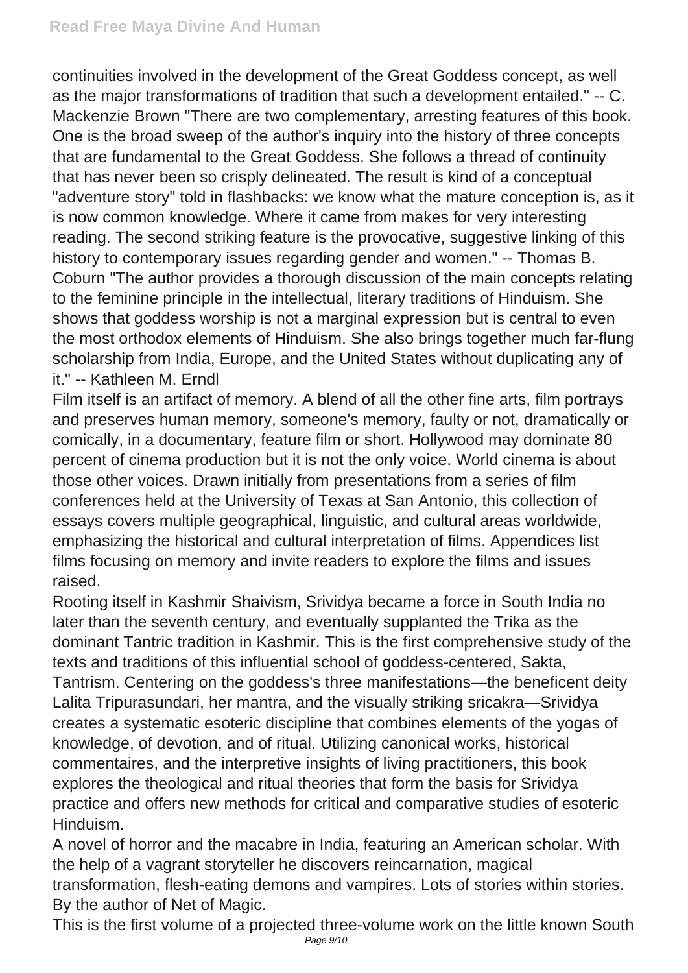continuities involved in the development of the Great Goddess concept, as well as the major transformations of tradition that such a development entailed." -- C. Mackenzie Brown "There are two complementary, arresting features of this book. One is the broad sweep of the author's inquiry into the history of three concepts that are fundamental to the Great Goddess. She follows a thread of continuity that has never been so crisply delineated. The result is kind of a conceptual "adventure story" told in flashbacks: we know what the mature conception is, as it is now common knowledge. Where it came from makes for very interesting reading. The second striking feature is the provocative, suggestive linking of this history to contemporary issues regarding gender and women." -- Thomas B. Coburn "The author provides a thorough discussion of the main concepts relating to the feminine principle in the intellectual, literary traditions of Hinduism. She shows that goddess worship is not a marginal expression but is central to even the most orthodox elements of Hinduism. She also brings together much far-flung scholarship from India, Europe, and the United States without duplicating any of it." -- Kathleen M. Erndl

Film itself is an artifact of memory. A blend of all the other fine arts, film portrays and preserves human memory, someone's memory, faulty or not, dramatically or comically, in a documentary, feature film or short. Hollywood may dominate 80 percent of cinema production but it is not the only voice. World cinema is about those other voices. Drawn initially from presentations from a series of film conferences held at the University of Texas at San Antonio, this collection of essays covers multiple geographical, linguistic, and cultural areas worldwide, emphasizing the historical and cultural interpretation of films. Appendices list films focusing on memory and invite readers to explore the films and issues raised.

Rooting itself in Kashmir Shaivism, Srividya became a force in South India no later than the seventh century, and eventually supplanted the Trika as the dominant Tantric tradition in Kashmir. This is the first comprehensive study of the texts and traditions of this influential school of goddess-centered, Sakta, Tantrism. Centering on the goddess's three manifestations—the beneficent deity Lalita Tripurasundari, her mantra, and the visually striking sricakra—Srividya creates a systematic esoteric discipline that combines elements of the yogas of knowledge, of devotion, and of ritual. Utilizing canonical works, historical commentaires, and the interpretive insights of living practitioners, this book explores the theological and ritual theories that form the basis for Srividya practice and offers new methods for critical and comparative studies of esoteric Hinduism.

A novel of horror and the macabre in India, featuring an American scholar. With the help of a vagrant storyteller he discovers reincarnation, magical transformation, flesh-eating demons and vampires. Lots of stories within stories. By the author of Net of Magic.

This is the first volume of a projected three-volume work on the little known South Page 9/10